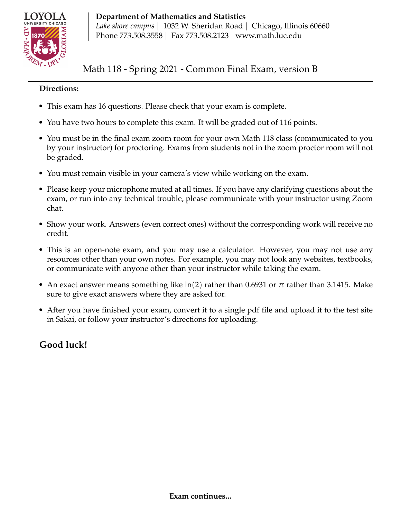

**Department of Mathematics and Statistics** *Lake shore campus* | 1032 W. Sheridan Road | Chicago, Illinois 60660 Phone 773.508.3558 | Fax 773.508.2123 | www.math.luc.edu

Math 118 - Spring 2021 - Common Final Exam, version B

## **Directions:**

- This exam has 16 questions. Please check that your exam is complete.
- You have two hours to complete this exam. It will be graded out of 116 points.
- You must be in the final exam zoom room for your own Math 118 class (communicated to you by your instructor) for proctoring. Exams from students not in the zoom proctor room will not be graded.
- You must remain visible in your camera's view while working on the exam.
- Please keep your microphone muted at all times. If you have any clarifying questions about the exam, or run into any technical trouble, please communicate with your instructor using Zoom chat.
- Show your work. Answers (even correct ones) without the corresponding work will receive no credit.
- This is an open-note exam, and you may use a calculator. However, you may not use any resources other than your own notes. For example, you may not look any websites, textbooks, or communicate with anyone other than your instructor while taking the exam.
- An exact answer means something like  $ln(2)$  rather than 0.6931 or  $\pi$  rather than 3.1415. Make sure to give exact answers where they are asked for.
- After you have finished your exam, convert it to a single pdf file and upload it to the test site in Sakai, or follow your instructor's directions for uploading.

# **Good luck!**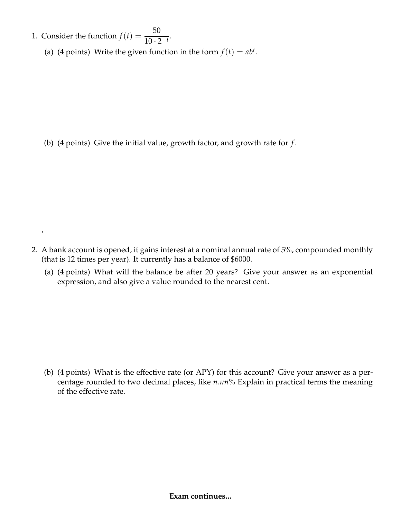1. Consider the function  $f(t) = \frac{50}{10^{-3}}$  $\frac{10}{10 \cdot 2^{-t}}$ 

 $\pmb{\prime}$ 

(a) (4 points) Write the given function in the form  $f(t) = ab^t$ .

(b) (4 points) Give the initial value, growth factor, and growth rate for *f* .

- 2. A bank account is opened, it gains interest at a nominal annual rate of 5%, compounded monthly (that is 12 times per year). It currently has a balance of \$6000.
	- (a) (4 points) What will the balance be after 20 years? Give your answer as an exponential expression, and also give a value rounded to the nearest cent.

(b) (4 points) What is the effective rate (or APY) for this account? Give your answer as a percentage rounded to two decimal places, like *n*.*nn*% Explain in practical terms the meaning of the effective rate.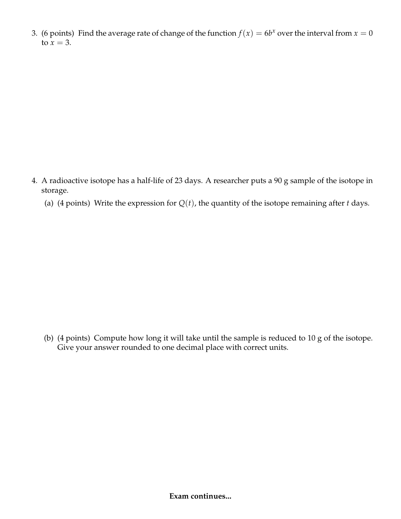3. (6 points) Find the average rate of change of the function  $f(x) = 6b^x$  over the interval from  $x = 0$ to  $x = 3$ .

- 4. A radioactive isotope has a half-life of 23 days. A researcher puts a 90 g sample of the isotope in storage.
	- (a) (4 points) Write the expression for  $Q(t)$ , the quantity of the isotope remaining after *t* days.

(b) (4 points) Compute how long it will take until the sample is reduced to 10 g of the isotope. Give your answer rounded to one decimal place with correct units.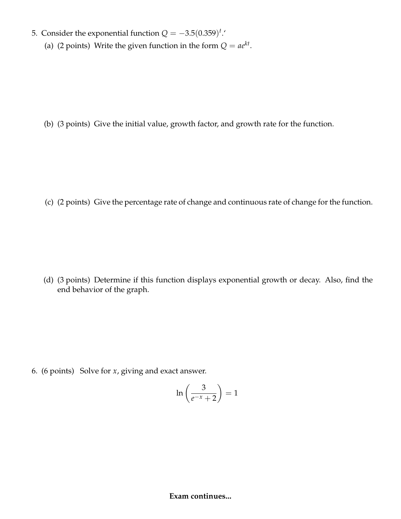- 5. Consider the exponential function  $Q = -3.5(0.359)^t$ .
	- (a) (2 points) Write the given function in the form  $Q = ae^{kt}$ .

(b) (3 points) Give the initial value, growth factor, and growth rate for the function.

(c) (2 points) Give the percentage rate of change and continuous rate of change for the function.

(d) (3 points) Determine if this function displays exponential growth or decay. Also, find the end behavior of the graph.

6. (6 points) Solve for *x*, giving and exact answer.

$$
\ln\left(\frac{3}{e^{-x}+2}\right) = 1
$$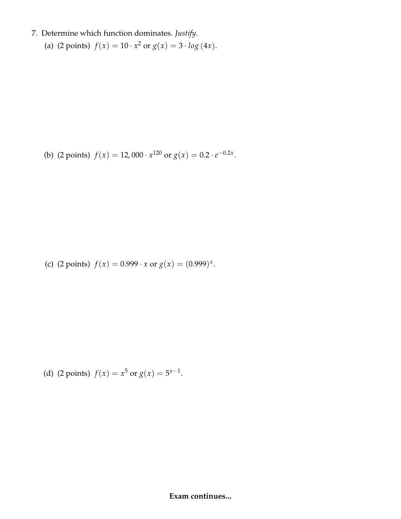- 7. Determine which function dominates. *Justify*.
	- (a) (2 points)  $f(x) = 10 \cdot x^2$  or  $g(x) = 3 \cdot \log(4x)$ .

(b) (2 points)  $f(x) = 12,000 \cdot x^{120}$  or  $g(x) = 0.2 \cdot e^{-0.2x}$ .

(c) (2 points)  $f(x) = 0.999 \cdot x$  or  $g(x) = (0.999)^x$ .

(d) (2 points)  $f(x) = x^5$  or  $g(x) = 5^{x-1}$ .

#### **Exam continues...**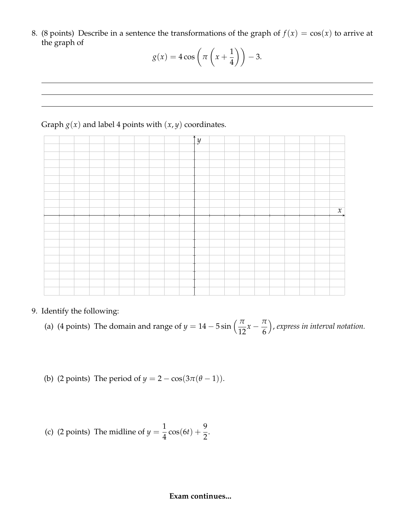8. (8 points) Describe in a sentence the transformations of the graph of  $f(x) = cos(x)$  to arrive at the graph of

$$
g(x) = 4\cos\left(\pi\left(x + \frac{1}{4}\right)\right) - 3.
$$

## Graph  $g(x)$  and label 4 points with  $(x, y)$  coordinates.



9. Identify the following:

(a) (4 points) The domain and range of  $y = 14 - 5 \sin \left( \frac{\pi}{12} x - \frac{\pi}{6} \right)$ 6 , *express in interval notation.*

(b) (2 points) The period of 
$$
y = 2 - \cos(3\pi(\theta - 1))
$$
.

(c) (2 points) The midline of 
$$
y = \frac{1}{4} \cos(6t) + \frac{9}{2}
$$
.

### **Exam continues...**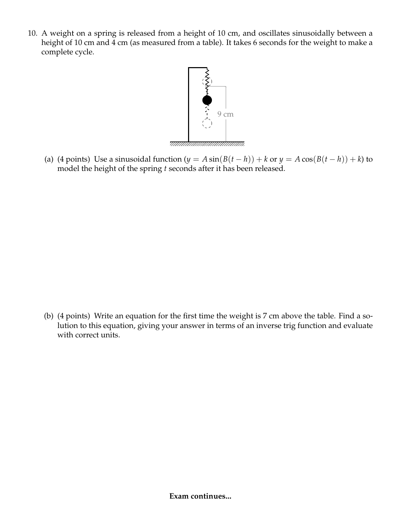10. A weight on a spring is released from a height of 10 cm, and oscillates sinusoidally between a height of 10 cm and 4 cm (as measured from a table). It takes 6 seconds for the weight to make a complete cycle.



(a) (4 points) Use a sinusoidal function  $(y = A \sin(B(t - h)) + k \text{ or } y = A \cos(B(t - h)) + k)$  to model the height of the spring *t* seconds after it has been released.

(b) (4 points) Write an equation for the first time the weight is 7 cm above the table. Find a solution to this equation, giving your answer in terms of an inverse trig function and evaluate with correct units.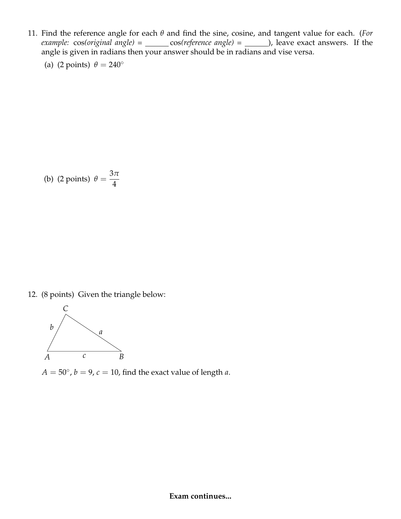11. Find the reference angle for each *θ* and find the sine, cosine, and tangent value for each. (*For example:* cos(original angle) = \_\_\_\_\_\_ cos(reference angle) = \_\_\_\_\_\_), leave exact answers. If the angle is given in radians then your answer should be in radians and vise versa.

(a) (2 points)  $\theta = 240^\circ$ 

(b) (2 points) 
$$
\theta = \frac{3\pi}{4}
$$

12. (8 points) Given the triangle below:



 $A = 50^\circ$ ,  $b = 9$ ,  $c = 10$ , find the exact value of length *a*.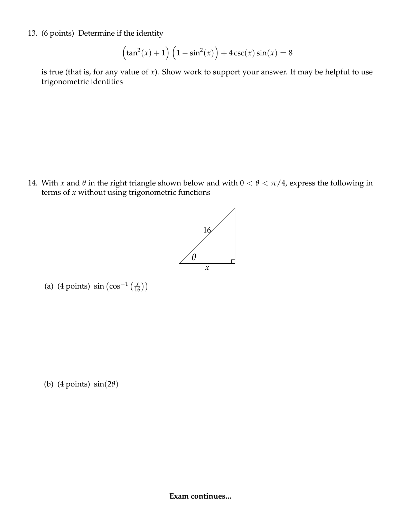13. (6 points) Determine if the identity

$$
\left(\tan^2(x) + 1\right) \left(1 - \sin^2(x)\right) + 4\csc(x)\sin(x) = 8
$$

is true (that is, for any value of *x*). Show work to support your answer. It may be helpful to use trigonometric identities

14. With *x* and  $\theta$  in the right triangle shown below and with  $0 < \theta < \pi/4$ , express the following in terms of *x* without using trigonometric functions



(a) (4 points)  $\sin (\cos^{-1}(\frac{x}{16}))$ 

(b) (4 points) sin(2*θ*)